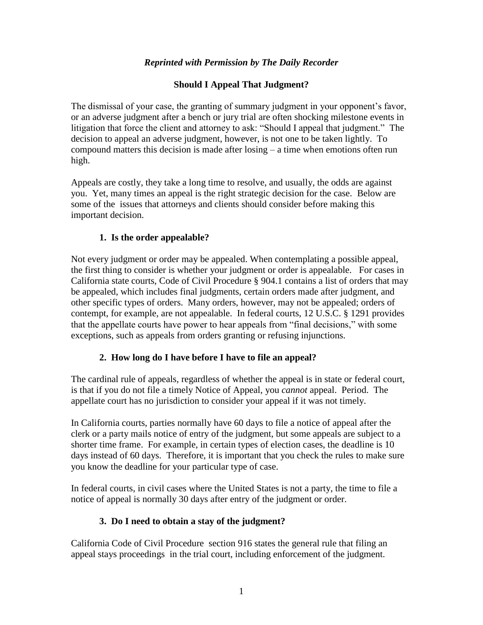## *Reprinted with Permission by The Daily Recorder*

### **Should I Appeal That Judgment?**

The dismissal of your case, the granting of summary judgment in your opponent's favor, or an adverse judgment after a bench or jury trial are often shocking milestone events in litigation that force the client and attorney to ask: "Should I appeal that judgment." The decision to appeal an adverse judgment, however, is not one to be taken lightly. To compound matters this decision is made after losing – a time when emotions often run high.

Appeals are costly, they take a long time to resolve, and usually, the odds are against you. Yet, many times an appeal is the right strategic decision for the case. Below are some of the issues that attorneys and clients should consider before making this important decision.

#### **1. Is the order appealable?**

Not every judgment or order may be appealed. When contemplating a possible appeal, the first thing to consider is whether your judgment or order is appealable. For cases in California state courts, Code of Civil Procedure § 904.1 contains a list of orders that may be appealed, which includes final judgments, certain orders made after judgment, and other specific types of orders. Many orders, however, may not be appealed; orders of contempt, for example, are not appealable. In federal courts, 12 U.S.C. § 1291 provides that the appellate courts have power to hear appeals from "final decisions," with some exceptions, such as appeals from orders granting or refusing injunctions.

#### **2. How long do I have before I have to file an appeal?**

The cardinal rule of appeals, regardless of whether the appeal is in state or federal court, is that if you do not file a timely Notice of Appeal, you *cannot* appeal. Period. The appellate court has no jurisdiction to consider your appeal if it was not timely.

In California courts, parties normally have 60 days to file a notice of appeal after the clerk or a party mails notice of entry of the judgment, but some appeals are subject to a shorter time frame. For example, in certain types of election cases, the deadline is 10 days instead of 60 days. Therefore, it is important that you check the rules to make sure you know the deadline for your particular type of case.

In federal courts, in civil cases where the United States is not a party, the time to file a notice of appeal is normally 30 days after entry of the judgment or order.

## **3. Do I need to obtain a stay of the judgment?**

California Code of Civil Procedure section 916 states the general rule that filing an appeal stays proceedings in the trial court, including enforcement of the judgment.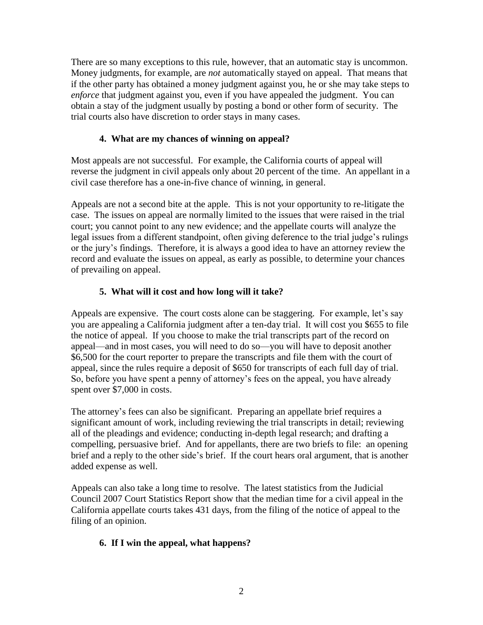There are so many exceptions to this rule, however, that an automatic stay is uncommon. Money judgments, for example, are *not* automatically stayed on appeal. That means that if the other party has obtained a money judgment against you, he or she may take steps to *enforce* that judgment against you, even if you have appealed the judgment. You can obtain a stay of the judgment usually by posting a bond or other form of security. The trial courts also have discretion to order stays in many cases.

## **4. What are my chances of winning on appeal?**

Most appeals are not successful. For example, the California courts of appeal will reverse the judgment in civil appeals only about 20 percent of the time. An appellant in a civil case therefore has a one-in-five chance of winning, in general.

Appeals are not a second bite at the apple. This is not your opportunity to re-litigate the case. The issues on appeal are normally limited to the issues that were raised in the trial court; you cannot point to any new evidence; and the appellate courts will analyze the legal issues from a different standpoint, often giving deference to the trial judge's rulings or the jury's findings. Therefore, it is always a good idea to have an attorney review the record and evaluate the issues on appeal, as early as possible, to determine your chances of prevailing on appeal.

# **5. What will it cost and how long will it take?**

Appeals are expensive. The court costs alone can be staggering. For example, let's say you are appealing a California judgment after a ten-day trial. It will cost you \$655 to file the notice of appeal. If you choose to make the trial transcripts part of the record on appeal—and in most cases, you will need to do so—you will have to deposit another \$6,500 for the court reporter to prepare the transcripts and file them with the court of appeal, since the rules require a deposit of \$650 for transcripts of each full day of trial. So, before you have spent a penny of attorney's fees on the appeal, you have already spent over \$7,000 in costs.

The attorney's fees can also be significant. Preparing an appellate brief requires a significant amount of work, including reviewing the trial transcripts in detail; reviewing all of the pleadings and evidence; conducting in-depth legal research; and drafting a compelling, persuasive brief. And for appellants, there are two briefs to file: an opening brief and a reply to the other side's brief. If the court hears oral argument, that is another added expense as well.

Appeals can also take a long time to resolve. The latest statistics from the Judicial Council 2007 Court Statistics Report show that the median time for a civil appeal in the California appellate courts takes 431 days, from the filing of the notice of appeal to the filing of an opinion.

# **6. If I win the appeal, what happens?**